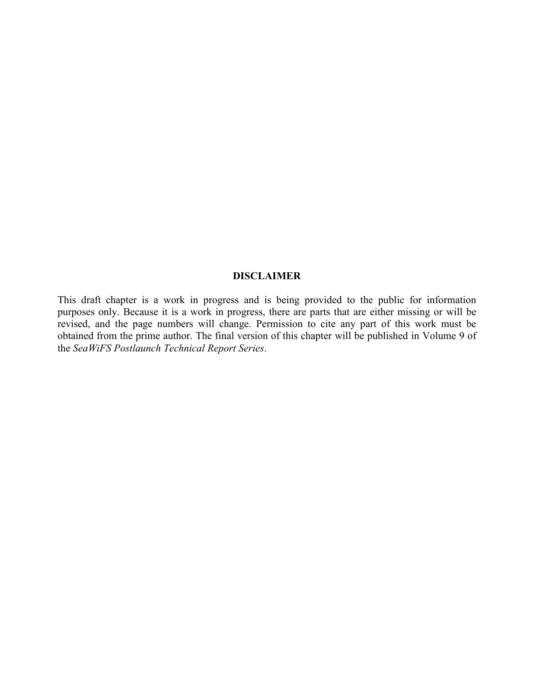## **DISCLAIMER**

This draft chapter is a work in progress and is being provided to the public for information purposes only. Because it is a work in progress, there are parts that are either missing or will be revised, and the page numbers will change. Permission to cite any part of this work must be obtained from the prime author. The final version of this chapter will be published in Volume 9 of the *SeaWiFS Postlaunch Technical Report Series*.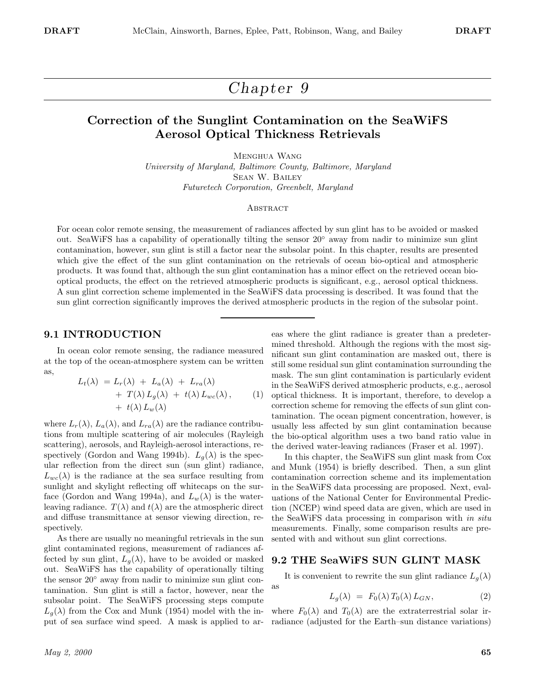# *Chapter 9*

# **Correction of the Sunglint Contamination on the SeaWiFS Aerosol Optical Thickness Retrievals**

Menghua Wang *University of Maryland, Baltimore County, Baltimore, Maryland* Sean W. Bailey *Futuretech Corporation, Greenbelt, Maryland*

#### **ABSTRACT**

For ocean color remote sensing, the measurement of radiances affected by sun glint has to be avoided or masked out. SeaWiFS has a capability of operationally tilting the sensor 20◦ away from nadir to minimize sun glint contamination, however, sun glint is still a factor near the subsolar point. In this chapter, results are presented which give the effect of the sun glint contamination on the retrievals of ocean bio-optical and atmospheric products. It was found that, although the sun glint contamination has a minor effect on the retrieved ocean biooptical products, the effect on the retrieved atmospheric products is significant, e.g., aerosol optical thickness. A sun glint correction scheme implemented in the SeaWiFS data processing is described. It was found that the sun glint correction significantly improves the derived atmospheric products in the region of the subsolar point.

as

#### **9.1 INTRODUCTION**

In ocean color remote sensing, the radiance measured at the top of the ocean-atmosphere system can be written as,

$$
L_t(\lambda) = L_r(\lambda) + L_a(\lambda) + L_{ra}(\lambda)
$$
  
+ 
$$
T(\lambda) L_g(\lambda) + t(\lambda) L_{wc}(\lambda),
$$
 (1)  
+ 
$$
t(\lambda) L_w(\lambda)
$$

where  $L_r(\lambda)$ ,  $L_a(\lambda)$ , and  $L_{ra}(\lambda)$  are the radiance contributions from multiple scattering of air molecules (Rayleigh scattering), aerosols, and Rayleigh-aerosol interactions, respectively (Gordon and Wang 1994b).  $L_g(\lambda)$  is the specular reflection from the direct sun (sun glint) radiance,  $L_{wc}(\lambda)$  is the radiance at the sea surface resulting from sunlight and skylight reflecting off whitecaps on the surface (Gordon and Wang 1994a), and  $L_w(\lambda)$  is the waterleaving radiance.  $T(\lambda)$  and  $t(\lambda)$  are the atmospheric direct and diffuse transmittance at sensor viewing direction, respectively.

As there are usually no meaningful retrievals in the sun glint contaminated regions, measurement of radiances affected by sun glint,  $L_g(\lambda)$ , have to be avoided or masked out. SeaWiFS has the capability of operationally tilting the sensor 20◦ away from nadir to minimize sun glint contamination. Sun glint is still a factor, however, near the subsolar point. The SeaWiFS processing steps compute  $L_q(\lambda)$  from the Cox and Munk (1954) model with the input of sea surface wind speed. A mask is applied to ar-

eas where the glint radiance is greater than a predetermined threshold. Although the regions with the most significant sun glint contamination are masked out, there is still some residual sun glint contamination surrounding the mask. The sun glint contamination is particularly evident in the SeaWiFS derived atmospheric products, e.g., aerosol optical thickness. It is important, therefore, to develop a correction scheme for removing the effects of sun glint contamination. The ocean pigment concentration, however, is usually less affected by sun glint contamination because the bio-optical algorithm uses a two band ratio value in the derived water-leaving radiances (Fraser et al. 1997).

In this chapter, the SeaWiFS sun glint mask from Cox and Munk (1954) is briefly described. Then, a sun glint contamination correction scheme and its implementation in the SeaWiFS data processing are proposed. Next, evaluations of the National Center for Environmental Prediction (NCEP) wind speed data are given, which are used in the SeaWiFS data processing in comparison with *in situ* measurements. Finally, some comparison results are presented with and without sun glint corrections.

#### **9.2 THE SeaWiFS SUN GLINT MASK**

It is convenient to rewrite the sun glint radiance  $L_q(\lambda)$ 

$$
L_g(\lambda) = F_0(\lambda) T_0(\lambda) L_{GN}, \qquad (2)
$$

where  $F_0(\lambda)$  and  $T_0(\lambda)$  are the extraterrestrial solar irradiance (adjusted for the Earth–sun distance variations)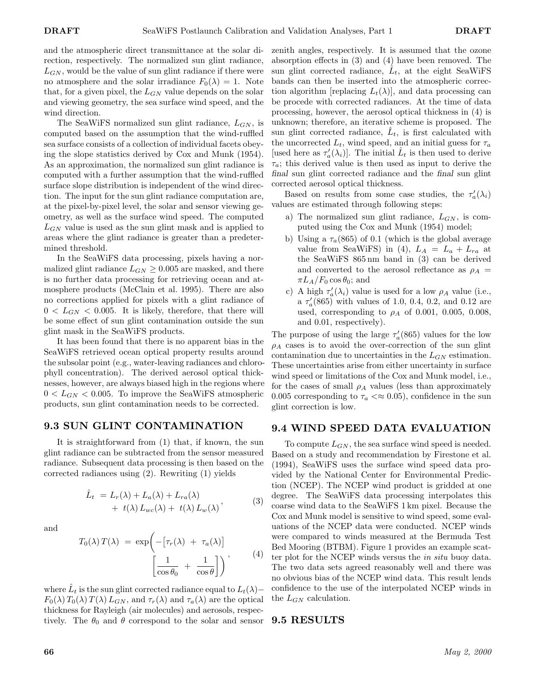and the atmospheric direct transmittance at the solar direction, respectively. The normalized sun glint radiance, *LGN* , would be the value of sun glint radiance if there were no atmosphere and the solar irradiance  $F_0(\lambda) = 1$ . Note that, for a given pixel, the *LGN* value depends on the solar and viewing geometry, the sea surface wind speed, and the wind direction.

The SeaWiFS normalized sun glint radiance, *LGN* , is computed based on the assumption that the wind-ruffled sea surface consists of a collection of individual facets obeying the slope statistics derived by Cox and Munk (1954). As an approximation, the normalized sun glint radiance is computed with a further assumption that the wind-ruffled surface slope distribution is independent of the wind direction. The input for the sun glint radiance computation are, at the pixel-by-pixel level, the solar and sensor viewing geometry, as well as the surface wind speed. The computed *LGN* value is used as the sun glint mask and is applied to areas where the glint radiance is greater than a predetermined threshold.

In the SeaWiFS data processing, pixels having a normalized glint radiance  $L_{GN} \geq 0.005$  are masked, and there is no further data processing for retrieving ocean and atmosphere products (McClain et al. 1995). There are also no corrections applied for pixels with a glint radiance of  $0 < L_{GN} < 0.005$ . It is likely, therefore, that there will be some effect of sun glint contamination outside the sun glint mask in the SeaWiFS products.

It has been found that there is no apparent bias in the SeaWiFS retrieved ocean optical property results around the subsolar point (e.g., water-leaving radiances and chlorophyll concentration). The derived aerosol optical thicknesses, however, are always biased high in the regions where  $0 < L_{GN} < 0.005$ . To improve the SeaWiFS atmospheric products, sun glint contamination needs to be corrected.

## **9.3 SUN GLINT CONTAMINATION**

It is straightforward from (1) that, if known, the sun glint radiance can be subtracted from the sensor measured radiance. Subsequent data processing is then based on the corrected radiances using (2). Rewriting (1) yields

$$
\hat{L}_t = L_r(\lambda) + L_a(\lambda) + L_{ra}(\lambda) \n+ t(\lambda) L_{wc}(\lambda) + t(\lambda) L_w(\lambda) ,
$$
\n(3)

and

$$
T_0(\lambda) T(\lambda) = \exp\left(-\left[\tau_r(\lambda) + \tau_a(\lambda)\right]\right)
$$

$$
\left[\frac{1}{\cos \theta_0} + \frac{1}{\cos \theta}\right] \right), \tag{4}
$$

where  $\hat{L}_t$  is the sun glint corrected radiance equal to  $L_t(\lambda)$ −  $F_0(\lambda) T_0(\lambda) T(\lambda) L_{GN}$ , and  $\tau_r(\lambda)$  and  $\tau_a(\lambda)$  are the optical thickness for Rayleigh (air molecules) and aerosols, respectively. The  $\theta_0$  and  $\theta$  correspond to the solar and sensor zenith angles, respectively. It is assumed that the ozone absorption effects in (3) and (4) have been removed. The sun glint corrected radiance,  $L_t$ , at the eight SeaWiFS bands can then be inserted into the atmospheric correction algorithm [replacing  $L_t(\lambda)$ ], and data processing can be procede with corrected radiances. At the time of data processing, however, the aerosol optical thickness in (4) is unknown; therefore, an iterative scheme is proposed. The sun glint corrected radiance,  $\hat{L}_t$ , is first calculated with the uncorrected  $L_t$ , wind speed, and an initial guess for  $\tau_a$ [used here as  $\tau_a'(\lambda_i)$ ]. The initial  $\hat{L}_t$  is then used to derive  $\tau_a$ ; this derived value is then used as input to derive the *final* sun glint corrected radiance and the *final* sun glint corrected aerosol optical thickness.

Based on results from some case studies, the  $\tau_a'(\lambda_i)$ values are estimated through following steps:

- a) The normalized sun glint radiance, *LGN* , is computed using the Cox and Munk (1954) model;
- b) Using a  $\tau_a(865)$  of 0.1 (which is the global average value from SeaWiFS) in (4),  $L_A = L_a + L_{ra}$  at the SeaWiFS 865 nm band in (3) can be derived and converted to the aerosol reflectance as  $\rho_A$  =  $\pi L_A/F_0 \cos \theta_0$ ; and
- c) A high  $\tau_a'(\lambda_i)$  value is used for a low  $\rho_A$  value (i.e.,  $a \tau_a'(865)$  with values of 1.0, 0.4, 0.2, and 0.12 are used, corresponding to  $\rho_A$  of 0.001, 0.005, 0.008, and 0.01, respectively).

The purpose of using the large  $\tau_a'(865)$  values for the low  $\rho_A$  cases is to avoid the over-correction of the sun glint contamination due to uncertainties in the  $L_{GN}$  estimation. These uncertainties arise from either uncertainty in surface wind speed or limitations of the Cox and Munk model, i.e., for the cases of small  $\rho_A$  values (less than approximately 0.005 corresponding to  $\tau_a \ll 0.05$ , confidence in the sun glint correction is low.

#### **9.4 WIND SPEED DATA EVALUATION**

To compute *LGN* , the sea surface wind speed is needed. Based on a study and recommendation by Firestone et al. (1994), SeaWiFS uses the surface wind speed data provided by the National Center for Environmental Prediction (NCEP). The NCEP wind product is gridded at one degree. The SeaWiFS data processing interpolates this coarse wind data to the SeaWiFS 1 km pixel. Because the Cox and Munk model is sensitive to wind speed, some evaluations of the NCEP data were conducted. NCEP winds were compared to winds measured at the Bermuda Test Bed Mooring (BTBM). Figure 1 provides an example scatter plot for the NCEP winds versus the *in situ* buoy data. The two data sets agreed reasonably well and there was no obvious bias of the NCEP wind data. This result lends confidence to the use of the interpolated NCEP winds in the *LGN* calculation.

#### **9.5 RESULTS**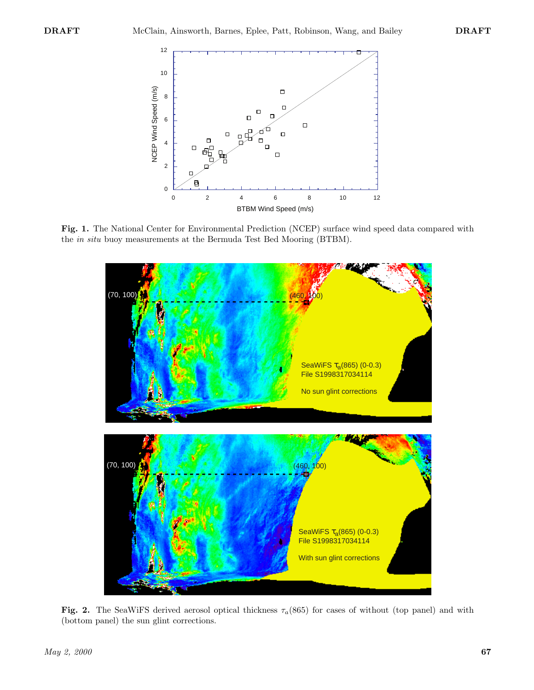

**Fig. 1.** The National Center for Environmental Prediction (NCEP) surface wind speed data compared with the *in situ* buoy measurements at the Bermuda Test Bed Mooring (BTBM).



**Fig. 2.** The SeaWiFS derived aerosol optical thickness  $\tau_a(865)$  for cases of without (top panel) and with (bottom panel) the sun glint corrections.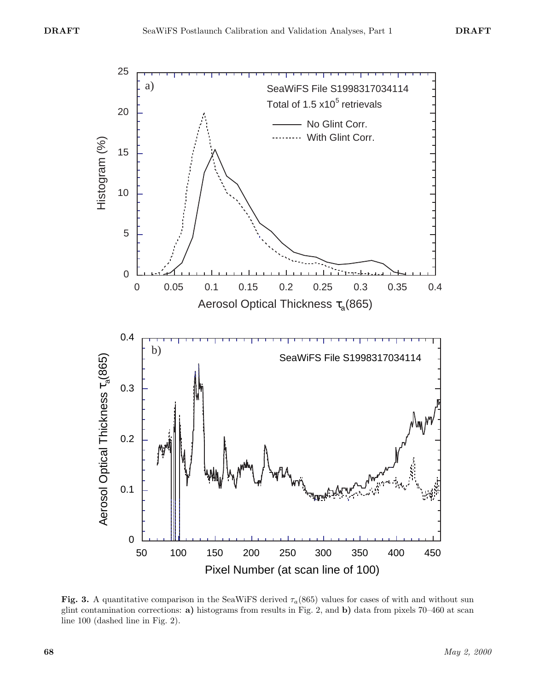

**Fig. 3.** A quantitative comparison in the SeaWiFS derived  $\tau_a(865)$  values for cases of with and without sun glint contamination corrections: **a)** histograms from results in Fig. 2, and **b)** data from pixels 70–460 at scan line 100 (dashed line in Fig. 2).